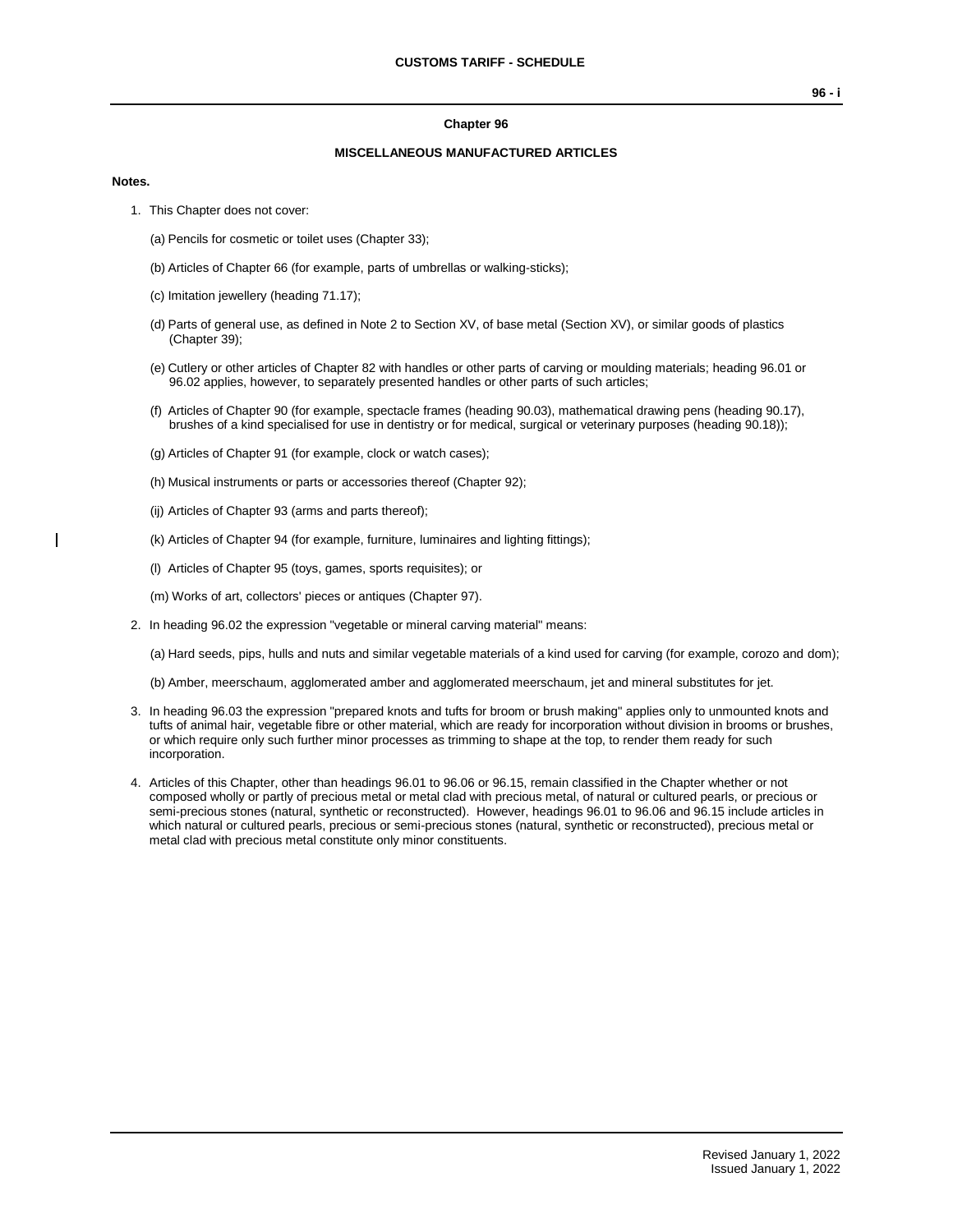#### **Chapter 96**

### **MISCELLANEOUS MANUFACTURED ARTICLES**

#### **Notes.**

- 1. This Chapter does not cover:
	- (a) Pencils for cosmetic or toilet uses (Chapter 33);
	- (b) Articles of Chapter 66 (for example, parts of umbrellas or walking-sticks);
	- (c) Imitation jewellery (heading 71.17);
	- (d) Parts of general use, as defined in Note 2 to Section XV, of base metal (Section XV), or similar goods of plastics (Chapter 39);
	- (e) Cutlery or other articles of Chapter 82 with handles or other parts of carving or moulding materials; heading 96.01 or 96.02 applies, however, to separately presented handles or other parts of such articles;
	- (f) Articles of Chapter 90 (for example, spectacle frames (heading 90.03), mathematical drawing pens (heading 90.17), brushes of a kind specialised for use in dentistry or for medical, surgical or veterinary purposes (heading 90.18));
	- (g) Articles of Chapter 91 (for example, clock or watch cases);
	- (h) Musical instruments or parts or accessories thereof (Chapter 92);
	- (ij) Articles of Chapter 93 (arms and parts thereof);
	- (k) Articles of Chapter 94 (for example, furniture, luminaires and lighting fittings);
	- (l) Articles of Chapter 95 (toys, games, sports requisites); or
	- (m) Works of art, collectors' pieces or antiques (Chapter 97).
- 2. In heading 96.02 the expression "vegetable or mineral carving material" means:

(a) Hard seeds, pips, hulls and nuts and similar vegetable materials of a kind used for carving (for example, corozo and dom);

(b) Amber, meerschaum, agglomerated amber and agglomerated meerschaum, jet and mineral substitutes for jet.

- 3. In heading 96.03 the expression "prepared knots and tufts for broom or brush making" applies only to unmounted knots and tufts of animal hair, vegetable fibre or other material, which are ready for incorporation without division in brooms or brushes, or which require only such further minor processes as trimming to shape at the top, to render them ready for such incorporation.
- 4. Articles of this Chapter, other than headings 96.01 to 96.06 or 96.15, remain classified in the Chapter whether or not composed wholly or partly of precious metal or metal clad with precious metal, of natural or cultured pearls, or precious or semi-precious stones (natural, synthetic or reconstructed). However, headings 96.01 to 96.06 and 96.15 include articles in which natural or cultured pearls, precious or semi-precious stones (natural, synthetic or reconstructed), precious metal or metal clad with precious metal constitute only minor constituents.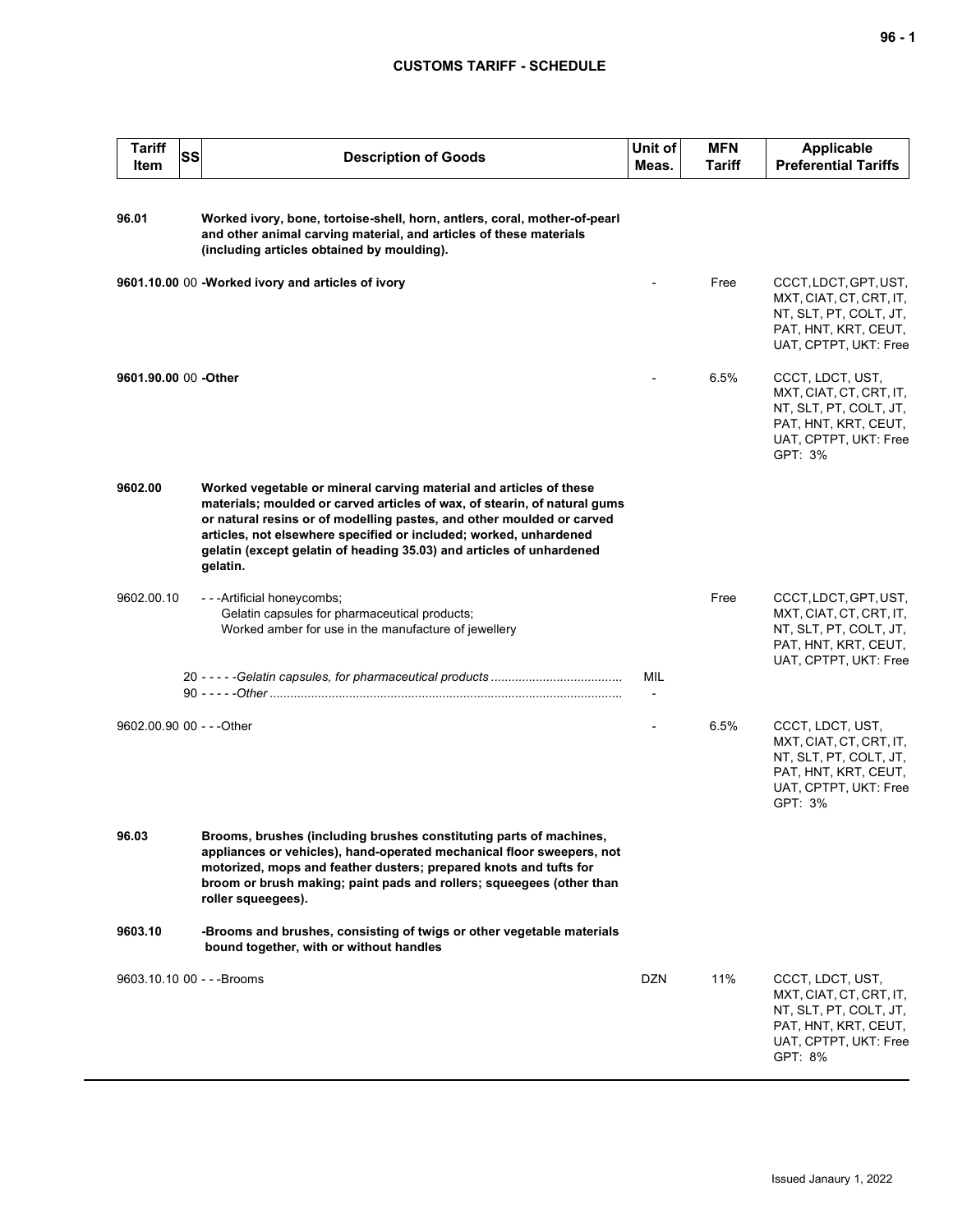## **CUSTOMS TARIFF - SCHEDULE**

| <b>Tariff</b><br>Item      | <b>SS</b> | <b>Description of Goods</b>                                                                                                                                                                                                                                                                                                                                                       | Unit of<br>Meas. | <b>MFN</b><br>Tariff | <b>Applicable</b><br><b>Preferential Tariffs</b>                                                                                  |
|----------------------------|-----------|-----------------------------------------------------------------------------------------------------------------------------------------------------------------------------------------------------------------------------------------------------------------------------------------------------------------------------------------------------------------------------------|------------------|----------------------|-----------------------------------------------------------------------------------------------------------------------------------|
| 96.01                      |           | Worked ivory, bone, tortoise-shell, horn, antlers, coral, mother-of-pearl<br>and other animal carving material, and articles of these materials<br>(including articles obtained by moulding).                                                                                                                                                                                     |                  |                      |                                                                                                                                   |
|                            |           | 9601.10.00 00 -Worked ivory and articles of ivory                                                                                                                                                                                                                                                                                                                                 |                  | Free                 | CCCT, LDCT, GPT, UST,<br>MXT, CIAT, CT, CRT, IT,<br>NT, SLT, PT, COLT, JT,<br>PAT, HNT, KRT, CEUT,<br>UAT, CPTPT, UKT: Free       |
| 9601.90.00 00 -Other       |           |                                                                                                                                                                                                                                                                                                                                                                                   |                  | 6.5%                 | CCCT, LDCT, UST,<br>MXT, CIAT, CT, CRT, IT,<br>NT, SLT, PT, COLT, JT,<br>PAT, HNT, KRT, CEUT,<br>UAT, CPTPT, UKT: Free<br>GPT: 3% |
| 9602.00                    |           | Worked vegetable or mineral carving material and articles of these<br>materials; moulded or carved articles of wax, of stearin, of natural gums<br>or natural resins or of modelling pastes, and other moulded or carved<br>articles, not elsewhere specified or included; worked, unhardened<br>gelatin (except gelatin of heading 35.03) and articles of unhardened<br>gelatin. |                  |                      |                                                                                                                                   |
| 9602.00.10                 |           | - - - Artificial honeycombs;<br>Gelatin capsules for pharmaceutical products;<br>Worked amber for use in the manufacture of jewellery                                                                                                                                                                                                                                             |                  | Free                 | CCCT, LDCT, GPT, UST,<br>MXT, CIAT, CT, CRT, IT,<br>NT, SLT, PT, COLT, JT,<br>PAT, HNT, KRT, CEUT,<br>UAT, CPTPT, UKT: Free       |
|                            |           |                                                                                                                                                                                                                                                                                                                                                                                   | MIL              |                      |                                                                                                                                   |
| 9602.00.90 00 - - - Other  |           |                                                                                                                                                                                                                                                                                                                                                                                   |                  | 6.5%                 | CCCT, LDCT, UST,<br>MXT, CIAT, CT, CRT, IT,<br>NT, SLT, PT, COLT, JT,<br>PAT, HNT, KRT, CEUT,<br>UAT, CPTPT, UKT: Free<br>GPT: 3% |
| 96.03                      |           | Brooms, brushes (including brushes constituting parts of machines,<br>appliances or vehicles), hand-operated mechanical floor sweepers, not<br>motorized, mops and feather dusters; prepared knots and tufts for<br>broom or brush making; paint pads and rollers; squeegees (other than<br>roller squeegees).                                                                    |                  |                      |                                                                                                                                   |
| 9603.10                    |           | -Brooms and brushes, consisting of twigs or other vegetable materials<br>bound together, with or without handles                                                                                                                                                                                                                                                                  |                  |                      |                                                                                                                                   |
| 9603.10.10 00 - - - Brooms |           |                                                                                                                                                                                                                                                                                                                                                                                   | DZN              | 11%                  | CCCT, LDCT, UST,<br>MXT, CIAT, CT, CRT, IT,<br>NT, SLT, PT, COLT, JT,<br>PAT, HNT, KRT, CEUT,<br>UAT, CPTPT, UKT: Free<br>GPT: 8% |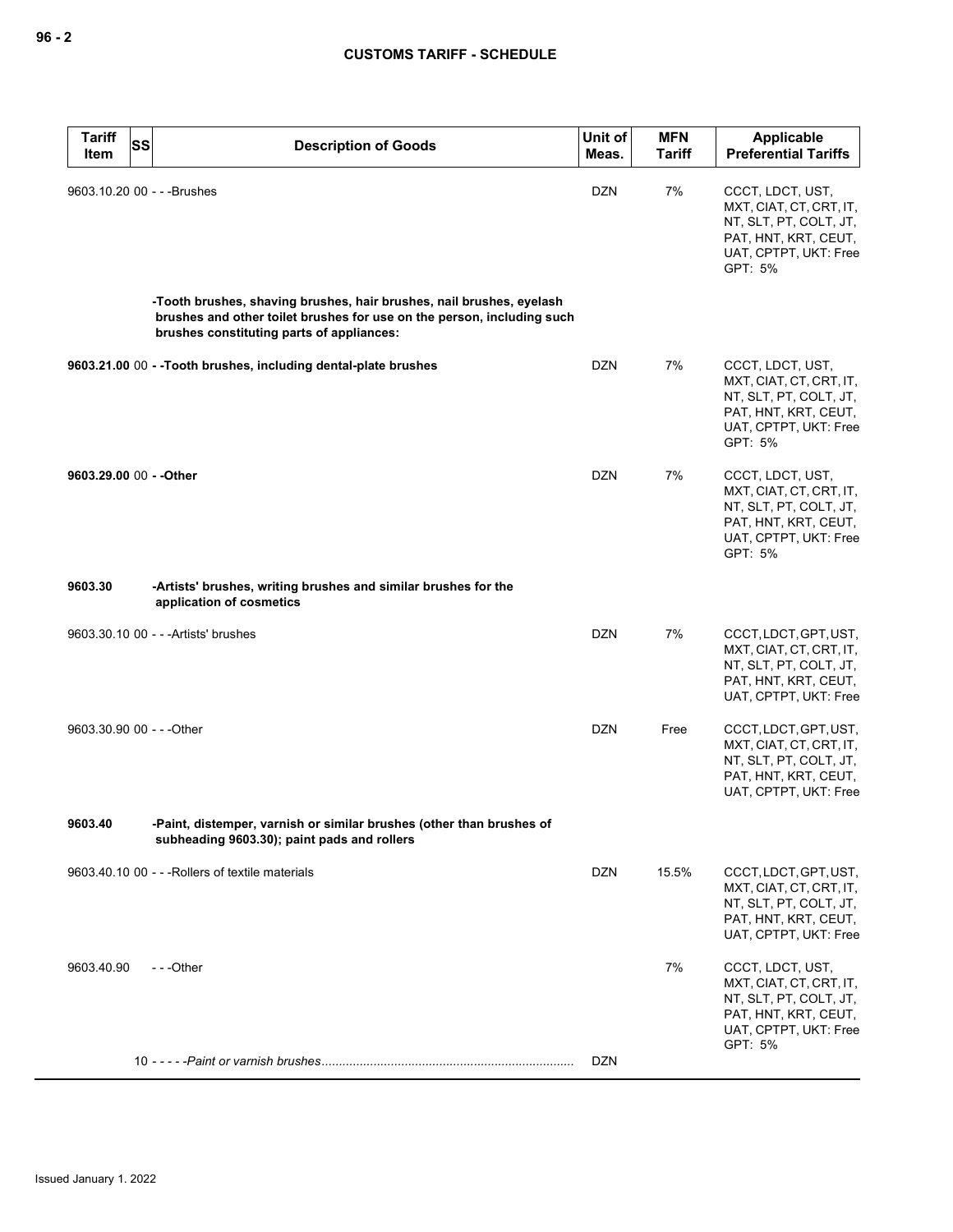| <b>Tariff</b><br><b>SS</b><br>ltem | <b>Description of Goods</b>                                                                                                                                                                 | Unit of<br>Meas. | <b>MFN</b><br><b>Tariff</b> | Applicable<br><b>Preferential Tariffs</b>                                                                                         |
|------------------------------------|---------------------------------------------------------------------------------------------------------------------------------------------------------------------------------------------|------------------|-----------------------------|-----------------------------------------------------------------------------------------------------------------------------------|
| 9603.10.20 00 - - - Brushes        |                                                                                                                                                                                             | <b>DZN</b>       | 7%                          | CCCT, LDCT, UST,<br>MXT, CIAT, CT, CRT, IT,<br>NT, SLT, PT, COLT, JT,<br>PAT, HNT, KRT, CEUT,<br>UAT, CPTPT, UKT: Free<br>GPT: 5% |
|                                    | -Tooth brushes, shaving brushes, hair brushes, nail brushes, eyelash<br>brushes and other toilet brushes for use on the person, including such<br>brushes constituting parts of appliances: |                  |                             |                                                                                                                                   |
|                                    | 9603.21.00 00 - - Tooth brushes, including dental-plate brushes                                                                                                                             | <b>DZN</b>       | 7%                          | CCCT, LDCT, UST,<br>MXT, CIAT, CT, CRT, IT,<br>NT, SLT, PT, COLT, JT,<br>PAT, HNT, KRT, CEUT,<br>UAT, CPTPT, UKT: Free<br>GPT: 5% |
| 9603.29.00 00 - - Other            |                                                                                                                                                                                             | <b>DZN</b>       | 7%                          | CCCT, LDCT, UST,<br>MXT, CIAT, CT, CRT, IT,<br>NT, SLT, PT, COLT, JT,<br>PAT, HNT, KRT, CEUT,<br>UAT, CPTPT, UKT: Free<br>GPT: 5% |
| 9603.30                            | -Artists' brushes, writing brushes and similar brushes for the<br>application of cosmetics                                                                                                  |                  |                             |                                                                                                                                   |
|                                    | 9603.30.10 00 - - - Artists' brushes                                                                                                                                                        | <b>DZN</b>       | 7%                          | CCCT, LDCT, GPT, UST,<br>MXT, CIAT, CT, CRT, IT,<br>NT, SLT, PT, COLT, JT,<br>PAT, HNT, KRT, CEUT,<br>UAT, CPTPT, UKT: Free       |
| 9603.30.90 00 - - - Other          |                                                                                                                                                                                             | <b>DZN</b>       | Free                        | CCCT, LDCT, GPT, UST,<br>MXT, CIAT, CT, CRT, IT,<br>NT, SLT, PT, COLT, JT,<br>PAT, HNT, KRT, CEUT,<br>UAT, CPTPT, UKT: Free       |
| 9603.40                            | -Paint, distemper, varnish or similar brushes (other than brushes of<br>subheading 9603.30); paint pads and rollers                                                                         |                  |                             |                                                                                                                                   |
|                                    | 9603.40.10 00 - - - Rollers of textile materials                                                                                                                                            | DZN              | 15.5%                       | CCCT, LDCT, GPT, UST,<br>MXT, CIAT, CT, CRT, IT,<br>NT, SLT, PT, COLT, JT,<br>PAT, HNT, KRT, CEUT,<br>UAT, CPTPT, UKT: Free       |
| 9603.40.90                         | $- -$ Other                                                                                                                                                                                 |                  | 7%                          | CCCT, LDCT, UST,<br>MXT, CIAT, CT, CRT, IT,<br>NT, SLT, PT, COLT, JT,<br>PAT, HNT, KRT, CEUT,<br>UAT, CPTPT, UKT: Free<br>GPT: 5% |
|                                    |                                                                                                                                                                                             | <b>DZN</b>       |                             |                                                                                                                                   |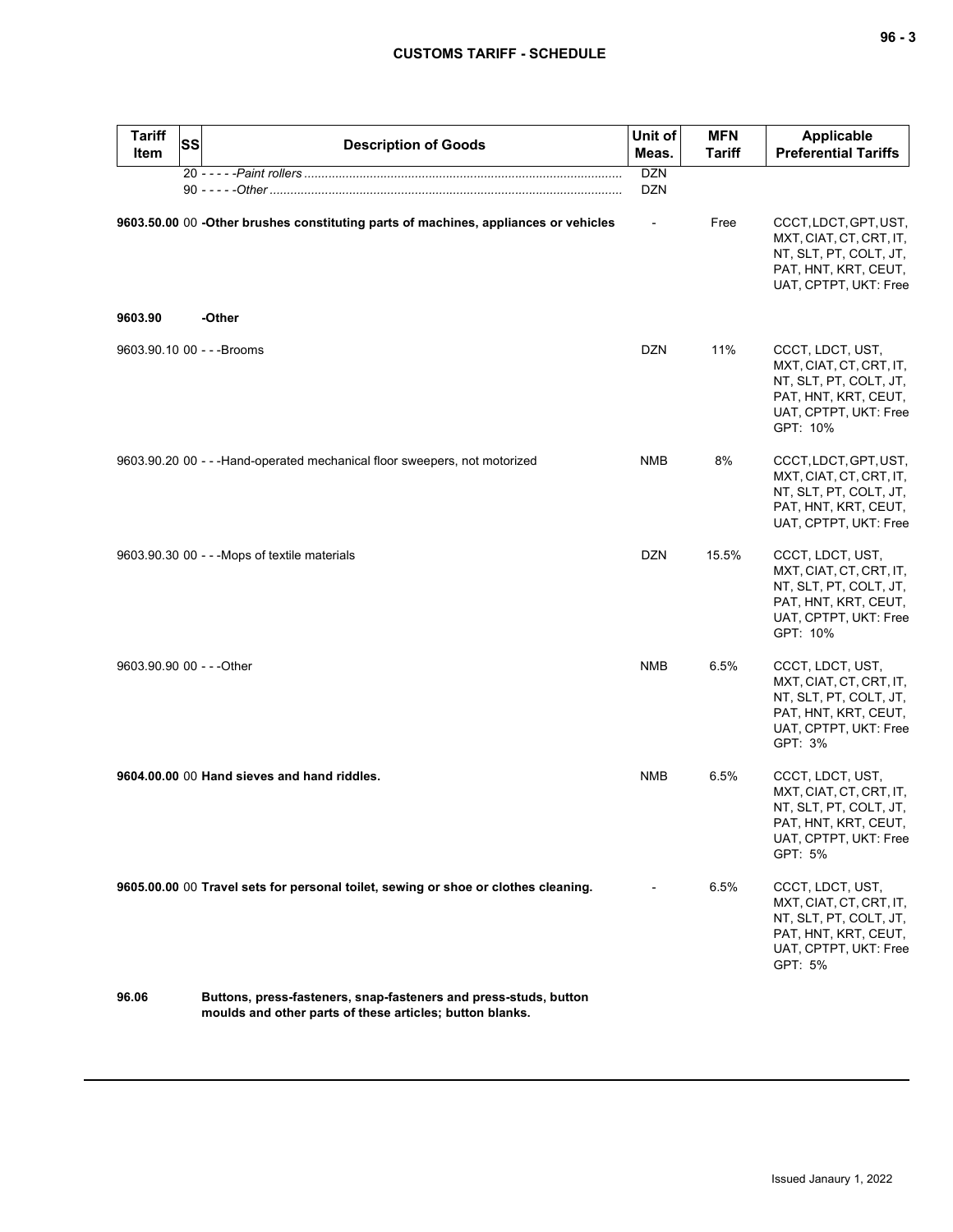| - - |  | -<br>۰. |
|-----|--|---------|
|-----|--|---------|

| <b>Tariff</b><br>Item      | <b>SS</b><br><b>Description of Goods</b>                                                                                     | Unit of<br>Meas.         | <b>MFN</b><br><b>Tariff</b> | <b>Applicable</b><br><b>Preferential Tariffs</b>                                                                                   |
|----------------------------|------------------------------------------------------------------------------------------------------------------------------|--------------------------|-----------------------------|------------------------------------------------------------------------------------------------------------------------------------|
|                            |                                                                                                                              | <b>DZN</b><br><b>DZN</b> |                             |                                                                                                                                    |
| 9603.90                    | 9603.50.00 00 -Other brushes constituting parts of machines, appliances or vehicles<br>-Other                                | $\overline{\phantom{a}}$ | Free                        | CCCT, LDCT, GPT, UST,<br>MXT, CIAT, CT, CRT, IT,<br>NT, SLT, PT, COLT, JT,<br>PAT, HNT, KRT, CEUT,<br>UAT, CPTPT, UKT: Free        |
|                            |                                                                                                                              |                          |                             |                                                                                                                                    |
| 9603.90.10 00 - - - Brooms |                                                                                                                              | <b>DZN</b>               | 11%                         | CCCT, LDCT, UST,<br>MXT, CIAT, CT, CRT, IT,<br>NT, SLT, PT, COLT, JT,<br>PAT, HNT, KRT, CEUT,<br>UAT, CPTPT, UKT: Free<br>GPT: 10% |
|                            | 9603.90.20 00 - - - Hand-operated mechanical floor sweepers, not motorized                                                   | <b>NMB</b>               | 8%                          | CCCT, LDCT, GPT, UST,<br>MXT, CIAT, CT, CRT, IT,<br>NT, SLT, PT, COLT, JT,<br>PAT, HNT, KRT, CEUT,<br>UAT, CPTPT, UKT: Free        |
|                            | 9603.90.30 00 - - - Mops of textile materials                                                                                | DZN                      | 15.5%                       | CCCT, LDCT, UST,<br>MXT, CIAT, CT, CRT, IT,<br>NT, SLT, PT, COLT, JT,<br>PAT, HNT, KRT, CEUT,<br>UAT, CPTPT, UKT: Free<br>GPT: 10% |
| 9603.90.90 00 - - - Other  |                                                                                                                              | <b>NMB</b>               | 6.5%                        | CCCT, LDCT, UST,<br>MXT, CIAT, CT, CRT, IT,<br>NT, SLT, PT, COLT, JT,<br>PAT, HNT, KRT, CEUT,<br>UAT, CPTPT, UKT: Free<br>GPT: 3%  |
|                            | 9604.00.00 00 Hand sieves and hand riddles.                                                                                  | <b>NMB</b>               | 6.5%                        | CCCT, LDCT, UST,<br>MXT, CIAT, CT, CRT, IT,<br>NT, SLT, PT, COLT, JT,<br>PAT, HNT, KRT, CEUT,<br>UAT, CPTPT, UKT: Free<br>GPT: 5%  |
|                            | 9605.00.00 00 Travel sets for personal toilet, sewing or shoe or clothes cleaning.                                           |                          | 6.5%                        | CCCT, LDCT, UST,<br>MXT, CIAT, CT, CRT, IT,<br>NT, SLT, PT, COLT, JT,<br>PAT, HNT, KRT, CEUT,<br>UAT, CPTPT, UKT: Free<br>GPT: 5%  |
| 96.06                      | Buttons, press-fasteners, snap-fasteners and press-studs, button<br>moulds and other parts of these articles; button blanks. |                          |                             |                                                                                                                                    |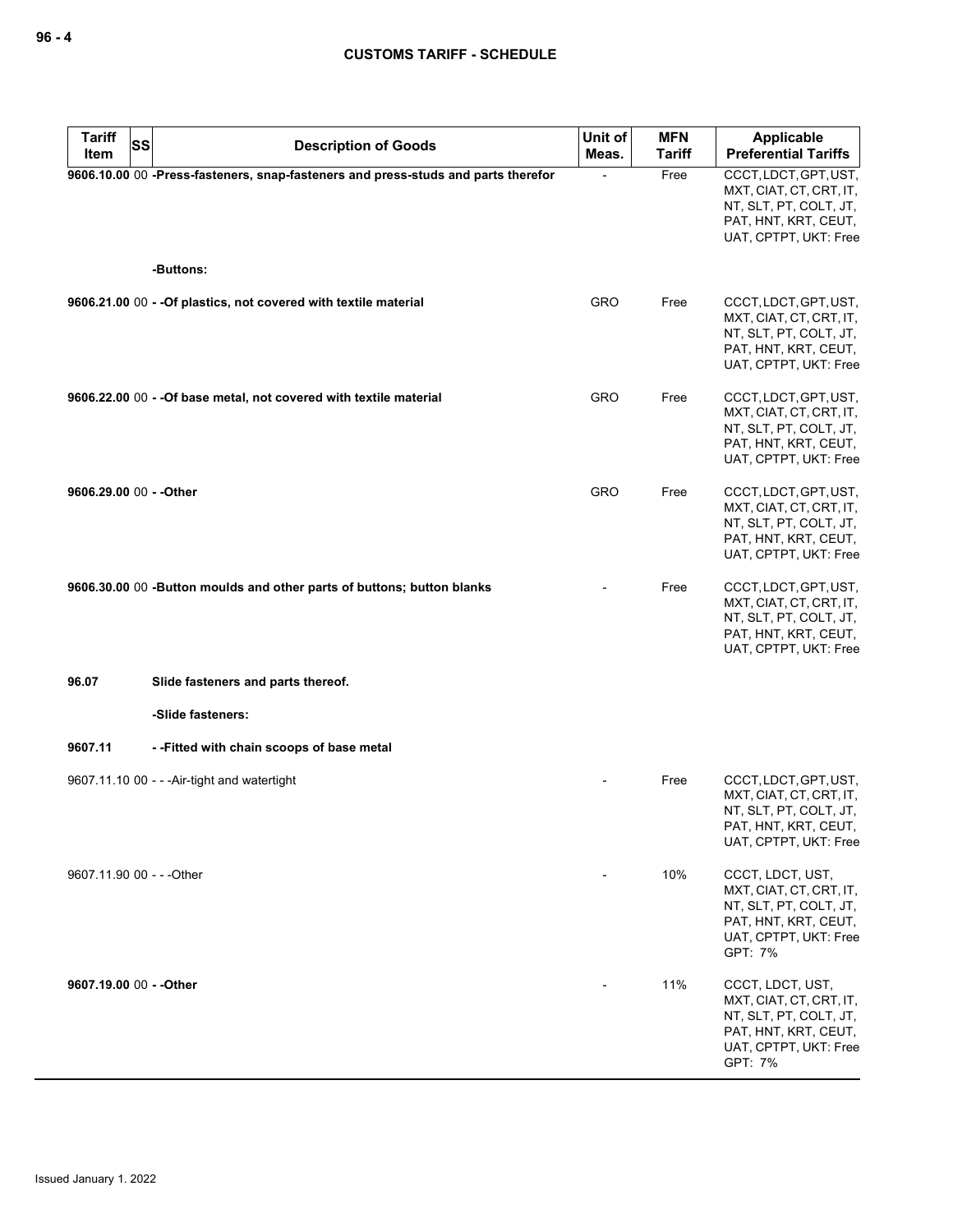| <b>Tariff</b><br>SS<br>Item | <b>Description of Goods</b>                                                       | Unit of<br>Meas. | <b>MFN</b><br><b>Tariff</b> | <b>Applicable</b><br><b>Preferential Tariffs</b>                                                                                  |
|-----------------------------|-----------------------------------------------------------------------------------|------------------|-----------------------------|-----------------------------------------------------------------------------------------------------------------------------------|
|                             | 9606.10.00 00 -Press-fasteners, snap-fasteners and press-studs and parts therefor |                  | Free                        | CCCT, LDCT, GPT, UST,<br>MXT, CIAT, CT, CRT, IT,<br>NT, SLT, PT, COLT, JT,<br>PAT, HNT, KRT, CEUT,<br>UAT, CPTPT, UKT: Free       |
|                             | -Buttons:                                                                         |                  |                             |                                                                                                                                   |
|                             | 9606.21.00 00 - - Of plastics, not covered with textile material                  | <b>GRO</b>       | Free                        | CCCT, LDCT, GPT, UST,<br>MXT, CIAT, CT, CRT, IT,<br>NT, SLT, PT, COLT, JT,<br>PAT, HNT, KRT, CEUT,<br>UAT, CPTPT, UKT: Free       |
|                             | 9606.22.00 00 - - Of base metal, not covered with textile material                | <b>GRO</b>       | Free                        | CCCT, LDCT, GPT, UST,<br>MXT, CIAT, CT, CRT, IT,<br>NT, SLT, PT, COLT, JT,<br>PAT, HNT, KRT, CEUT,<br>UAT, CPTPT, UKT: Free       |
| 9606.29.00 00 - - Other     |                                                                                   | <b>GRO</b>       | Free                        | CCCT, LDCT, GPT, UST,<br>MXT, CIAT, CT, CRT, IT,<br>NT, SLT, PT, COLT, JT,<br>PAT, HNT, KRT, CEUT,<br>UAT, CPTPT, UKT: Free       |
|                             | 9606.30.00 00 -Button moulds and other parts of buttons; button blanks            |                  | Free                        | CCCT, LDCT, GPT, UST,<br>MXT, CIAT, CT, CRT, IT,<br>NT, SLT, PT, COLT, JT,<br>PAT, HNT, KRT, CEUT,<br>UAT, CPTPT, UKT: Free       |
| 96.07                       | Slide fasteners and parts thereof.                                                |                  |                             |                                                                                                                                   |
|                             | -Slide fasteners:                                                                 |                  |                             |                                                                                                                                   |
| 9607.11                     | --Fitted with chain scoops of base metal                                          |                  |                             |                                                                                                                                   |
|                             | 9607.11.10 00 - - - Air-tight and watertight                                      |                  | Free                        | CCCT, LDCT, GPT, UST,<br>MXT, CIAT, CT, CRT, IT,<br>NT, SLT, PT, COLT, JT,<br>PAT, HNT, KRT, CEUT,<br>UAT, CPTPT, UKT: Free       |
| 9607.11.90 00 - - - Other   |                                                                                   |                  | 10%                         | CCCT, LDCT, UST,<br>MXT, CIAT, CT, CRT, IT,<br>NT, SLT, PT, COLT, JT,<br>PAT, HNT, KRT, CEUT,<br>UAT, CPTPT, UKT: Free<br>GPT: 7% |
| 9607.19.00 00 - - Other     |                                                                                   |                  | 11%                         | CCCT, LDCT, UST,<br>MXT, CIAT, CT, CRT, IT,<br>NT, SLT, PT, COLT, JT,<br>PAT, HNT, KRT, CEUT,<br>UAT, CPTPT, UKT: Free<br>GPT: 7% |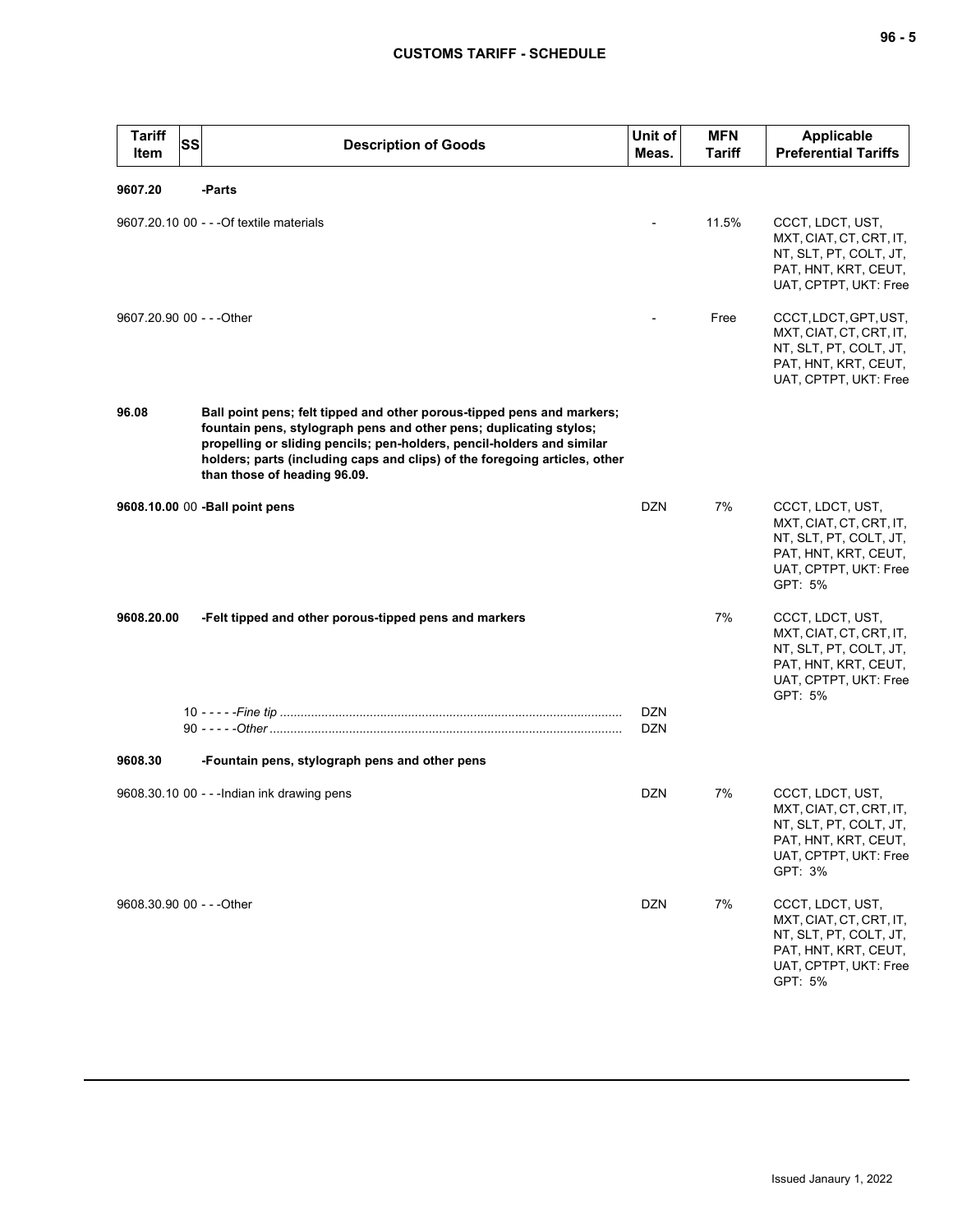| <b>Tariff</b><br>Item     | <b>SS</b> | <b>Description of Goods</b>                                                                                                                                                                                                                                                                                                          | Unit of<br>Meas. | <b>MFN</b><br><b>Tariff</b> | <b>Applicable</b><br><b>Preferential Tariffs</b>                                                                                  |
|---------------------------|-----------|--------------------------------------------------------------------------------------------------------------------------------------------------------------------------------------------------------------------------------------------------------------------------------------------------------------------------------------|------------------|-----------------------------|-----------------------------------------------------------------------------------------------------------------------------------|
| 9607.20                   |           | -Parts                                                                                                                                                                                                                                                                                                                               |                  |                             |                                                                                                                                   |
|                           |           | 9607.20.10 00 - - - Of textile materials                                                                                                                                                                                                                                                                                             |                  | 11.5%                       | CCCT, LDCT, UST,<br>MXT, CIAT, CT, CRT, IT,<br>NT, SLT, PT, COLT, JT,<br>PAT, HNT, KRT, CEUT,<br>UAT, CPTPT, UKT: Free            |
| 9607.20.90 00 - - - Other |           |                                                                                                                                                                                                                                                                                                                                      |                  | Free                        | CCCT, LDCT, GPT, UST,<br>MXT, CIAT, CT, CRT, IT,<br>NT, SLT, PT, COLT, JT,<br>PAT, HNT, KRT, CEUT,<br>UAT, CPTPT, UKT: Free       |
| 96.08                     |           | Ball point pens; felt tipped and other porous-tipped pens and markers;<br>fountain pens, stylograph pens and other pens; duplicating stylos;<br>propelling or sliding pencils; pen-holders, pencil-holders and similar<br>holders; parts (including caps and clips) of the foregoing articles, other<br>than those of heading 96.09. |                  |                             |                                                                                                                                   |
|                           |           | 9608.10.00 00 - Ball point pens                                                                                                                                                                                                                                                                                                      | <b>DZN</b>       | 7%                          | CCCT, LDCT, UST,<br>MXT, CIAT, CT, CRT, IT,<br>NT, SLT, PT, COLT, JT,<br>PAT, HNT, KRT, CEUT,<br>UAT, CPTPT, UKT: Free<br>GPT: 5% |
| 9608.20.00                |           | -Felt tipped and other porous-tipped pens and markers                                                                                                                                                                                                                                                                                | <b>DZN</b>       | 7%                          | CCCT, LDCT, UST,<br>MXT, CIAT, CT, CRT, IT,<br>NT, SLT, PT, COLT, JT,<br>PAT, HNT, KRT, CEUT,<br>UAT, CPTPT, UKT: Free<br>GPT: 5% |
|                           |           |                                                                                                                                                                                                                                                                                                                                      | <b>DZN</b>       |                             |                                                                                                                                   |
| 9608.30                   |           | -Fountain pens, stylograph pens and other pens                                                                                                                                                                                                                                                                                       |                  |                             |                                                                                                                                   |
|                           |           | 9608.30.10 00 - - - Indian ink drawing pens                                                                                                                                                                                                                                                                                          | <b>DZN</b>       | 7%                          | CCCT, LDCT, UST,<br>MXT, CIAT, CT, CRT, IT,<br>NT, SLT, PT, COLT, JT,<br>PAT, HNT, KRT, CEUT,<br>UAT, CPTPT, UKT: Free<br>GPT: 3% |
| 9608.30.90 00 - - - Other |           |                                                                                                                                                                                                                                                                                                                                      | <b>DZN</b>       | 7%                          | CCCT, LDCT, UST,<br>MXT, CIAT, CT, CRT, IT,<br>NT, SLT, PT, COLT, JT,<br>PAT, HNT, KRT, CEUT,<br>UAT, CPTPT, UKT: Free<br>GPT: 5% |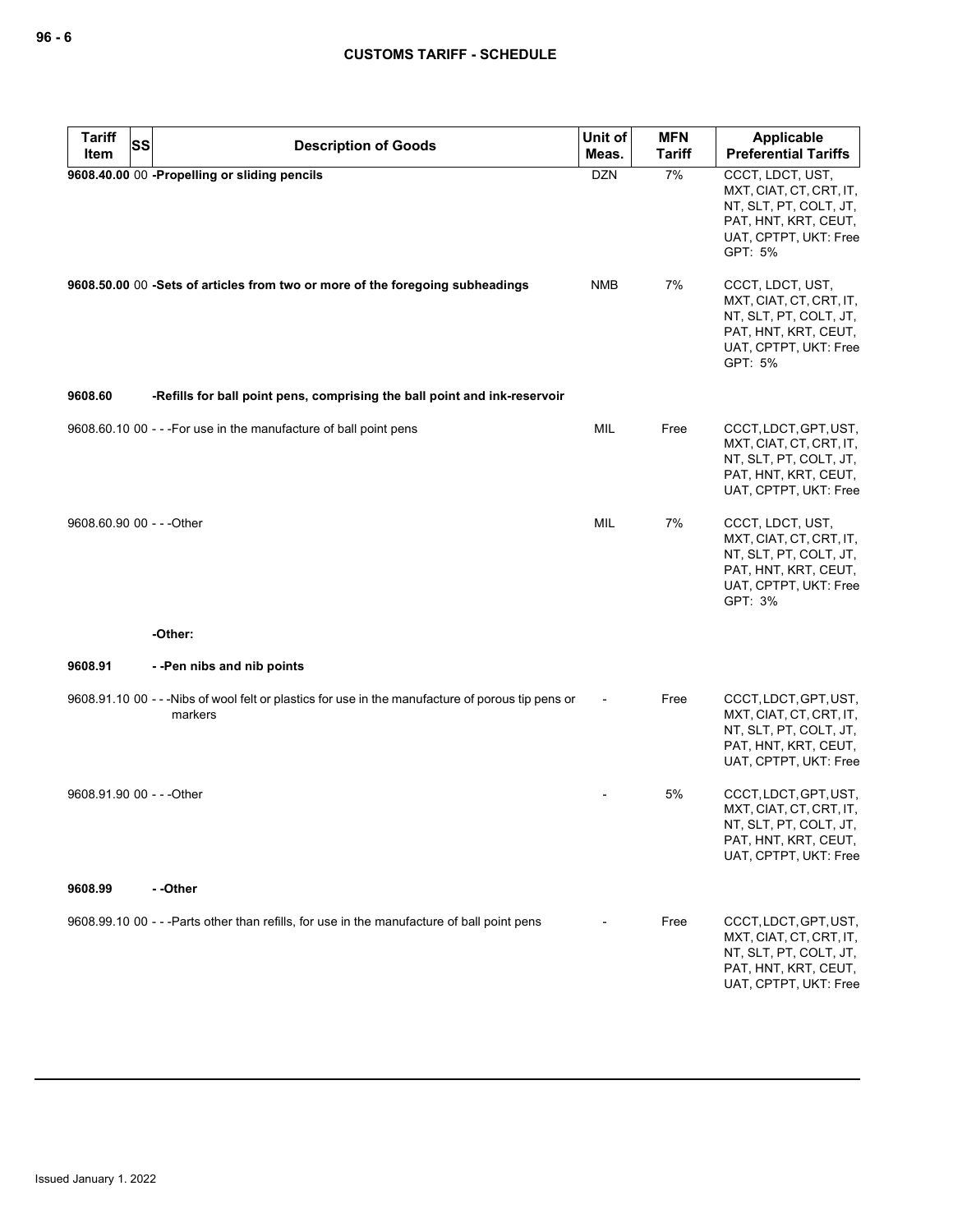| <b>Tariff</b><br><b>SS</b> | <b>Description of Goods</b>                                                                                | Unit of    | <b>MFN</b>    | <b>Applicable</b>                                                                                                                 |
|----------------------------|------------------------------------------------------------------------------------------------------------|------------|---------------|-----------------------------------------------------------------------------------------------------------------------------------|
| Item                       |                                                                                                            | Meas.      | <b>Tariff</b> | <b>Preferential Tariffs</b>                                                                                                       |
|                            | 9608.40.00 00 -Propelling or sliding pencils                                                               | <b>DZN</b> | 7%            | CCCT, LDCT, UST,<br>MXT, CIAT, CT, CRT, IT,<br>NT, SLT, PT, COLT, JT,<br>PAT, HNT, KRT, CEUT,<br>UAT, CPTPT, UKT: Free<br>GPT: 5% |
|                            | 9608.50.00 00 -Sets of articles from two or more of the foregoing subheadings                              | <b>NMB</b> | 7%            | CCCT, LDCT, UST,<br>MXT, CIAT, CT, CRT, IT,<br>NT, SLT, PT, COLT, JT,<br>PAT, HNT, KRT, CEUT,<br>UAT, CPTPT, UKT: Free<br>GPT: 5% |
| 9608.60                    | -Refills for ball point pens, comprising the ball point and ink-reservoir                                  |            |               |                                                                                                                                   |
|                            | 9608.60.10 00 - - - For use in the manufacture of ball point pens                                          | MIL        | Free          | CCCT, LDCT, GPT, UST,<br>MXT, CIAT, CT, CRT, IT,<br>NT, SLT, PT, COLT, JT,<br>PAT, HNT, KRT, CEUT,<br>UAT, CPTPT, UKT: Free       |
| 9608.60.90 00 - - - Other  |                                                                                                            | MIL        | 7%            | CCCT, LDCT, UST,<br>MXT, CIAT, CT, CRT, IT,<br>NT, SLT, PT, COLT, JT,<br>PAT, HNT, KRT, CEUT,<br>UAT, CPTPT, UKT: Free<br>GPT: 3% |
|                            | -Other:                                                                                                    |            |               |                                                                                                                                   |
| 9608.91                    | --Pen nibs and nib points                                                                                  |            |               |                                                                                                                                   |
|                            | 9608.91.10 00 ---Nibs of wool felt or plastics for use in the manufacture of porous tip pens or<br>markers |            | Free          | CCCT, LDCT, GPT, UST,<br>MXT, CIAT, CT, CRT, IT,<br>NT, SLT, PT, COLT, JT,<br>PAT, HNT, KRT, CEUT,<br>UAT, CPTPT, UKT: Free       |
| 9608.91.90 00 - - - Other  |                                                                                                            |            | 5%            | CCCT, LDCT, GPT, UST,<br>MXT, CIAT, CT, CRT, IT,<br>NT, SLT, PT, COLT, JT,<br>PAT, HNT, KRT, CEUT,<br>UAT, CPTPT, UKT: Free       |
| 9608.99                    | - -Other                                                                                                   |            |               |                                                                                                                                   |
|                            | 9608.99.10 00 - - -Parts other than refills, for use in the manufacture of ball point pens                 |            | Free          | CCCT, LDCT, GPT, UST,<br>MXT, CIAT, CT, CRT, IT,<br>NT, SLT, PT, COLT, JT,<br>PAT, HNT, KRT, CEUT,<br>UAT, CPTPT, UKT: Free       |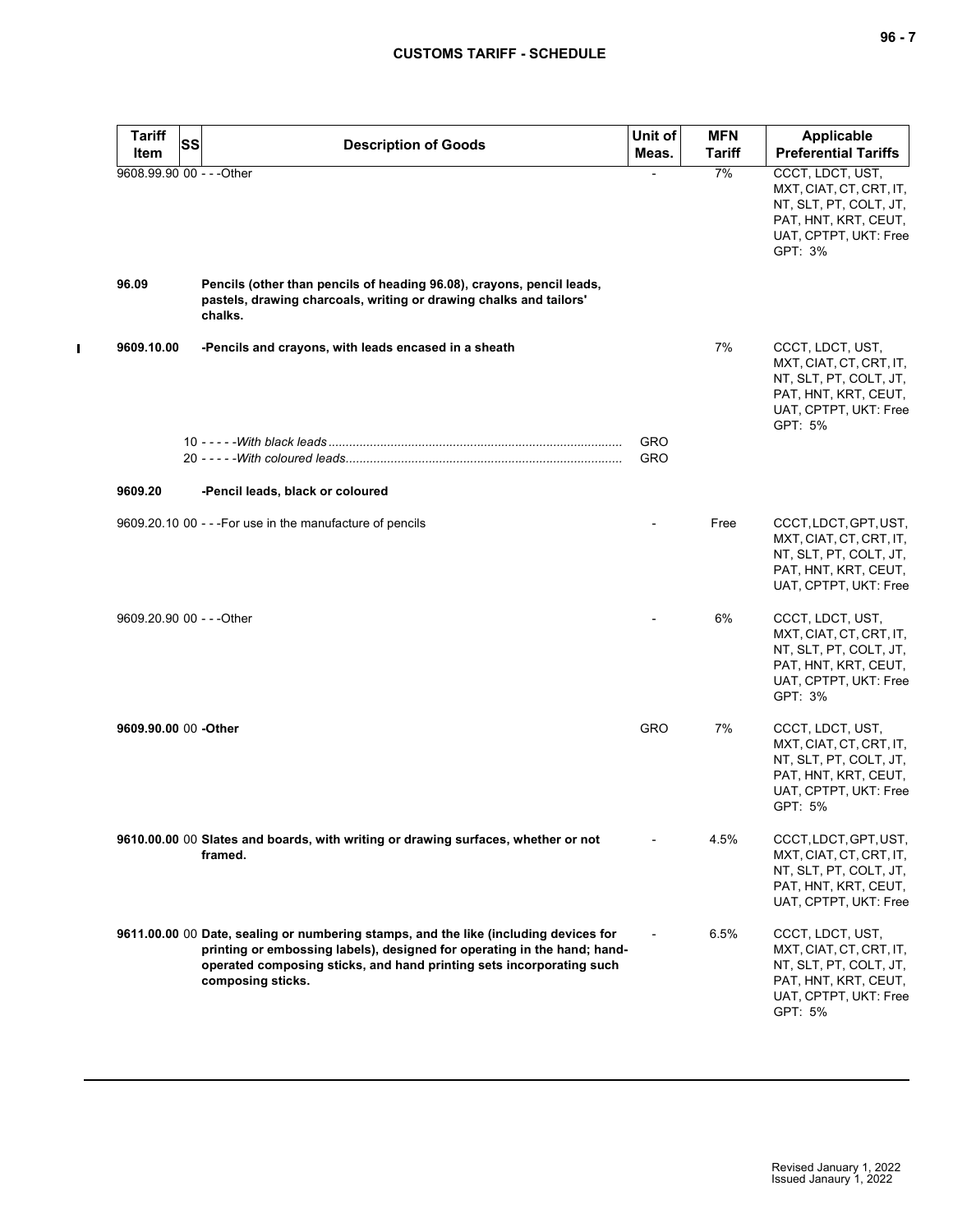| <b>Tariff</b><br>Item     | <b>SS</b> | <b>Description of Goods</b>                                                                                                                                                                                                                                   | Unit of<br>Meas. | <b>MFN</b><br><b>Tariff</b> | <b>Applicable</b><br><b>Preferential Tariffs</b>                                                                                  |
|---------------------------|-----------|---------------------------------------------------------------------------------------------------------------------------------------------------------------------------------------------------------------------------------------------------------------|------------------|-----------------------------|-----------------------------------------------------------------------------------------------------------------------------------|
| 9608.99.90 00 - - - Other |           |                                                                                                                                                                                                                                                               |                  | 7%                          | CCCT, LDCT, UST,<br>MXT, CIAT, CT, CRT, IT,<br>NT, SLT, PT, COLT, JT,<br>PAT, HNT, KRT, CEUT,<br>UAT, CPTPT, UKT: Free<br>GPT: 3% |
| 96.09                     |           | Pencils (other than pencils of heading 96.08), crayons, pencil leads,<br>pastels, drawing charcoals, writing or drawing chalks and tailors'<br>chalks.                                                                                                        |                  |                             |                                                                                                                                   |
| 9609.10.00                |           | -Pencils and crayons, with leads encased in a sheath                                                                                                                                                                                                          |                  | 7%                          | CCCT, LDCT, UST,<br>MXT, CIAT, CT, CRT, IT,<br>NT, SLT, PT, COLT, JT,<br>PAT, HNT, KRT, CEUT,<br>UAT, CPTPT, UKT: Free<br>GPT: 5% |
|                           |           |                                                                                                                                                                                                                                                               | GRO<br>GRO       |                             |                                                                                                                                   |
| 9609.20                   |           | -Pencil leads, black or coloured                                                                                                                                                                                                                              |                  |                             |                                                                                                                                   |
|                           |           | 9609.20.10 00 - - - For use in the manufacture of pencils                                                                                                                                                                                                     |                  | Free                        | CCCT, LDCT, GPT, UST,<br>MXT, CIAT, CT, CRT, IT,<br>NT, SLT, PT, COLT, JT,<br>PAT, HNT, KRT, CEUT,<br>UAT, CPTPT, UKT: Free       |
| 9609.20.90 00 - - - Other |           |                                                                                                                                                                                                                                                               |                  | 6%                          | CCCT, LDCT, UST,<br>MXT, CIAT, CT, CRT, IT,<br>NT, SLT, PT, COLT, JT,<br>PAT, HNT, KRT, CEUT,<br>UAT, CPTPT, UKT: Free<br>GPT: 3% |
| 9609.90.00 00 -Other      |           |                                                                                                                                                                                                                                                               | GRO              | 7%                          | CCCT, LDCT, UST,<br>MXT, CIAT, CT, CRT, IT,<br>NT, SLT, PT, COLT, JT,<br>PAT, HNT, KRT, CEUT,<br>UAT, CPTPT, UKT: Free<br>GPT: 5% |
|                           |           | 9610.00.00 00 Slates and boards, with writing or drawing surfaces, whether or not<br>framed.                                                                                                                                                                  |                  | 4.5%                        | CCCT, LDCT, GPT, UST,<br>MXT, CIAT, CT, CRT, IT,<br>NT, SLT, PT, COLT, JT,<br>PAT, HNT, KRT, CEUT,<br>UAT, CPTPT, UKT: Free       |
|                           |           | 9611.00.00 00 Date, sealing or numbering stamps, and the like (including devices for<br>printing or embossing labels), designed for operating in the hand; hand-<br>operated composing sticks, and hand printing sets incorporating such<br>composing sticks. |                  | 6.5%                        | CCCT, LDCT, UST,<br>MXT, CIAT, CT, CRT, IT,<br>NT, SLT, PT, COLT, JT,<br>PAT, HNT, KRT, CEUT,<br>UAT, CPTPT, UKT: Free<br>GPT: 5% |

 $\mathbf I$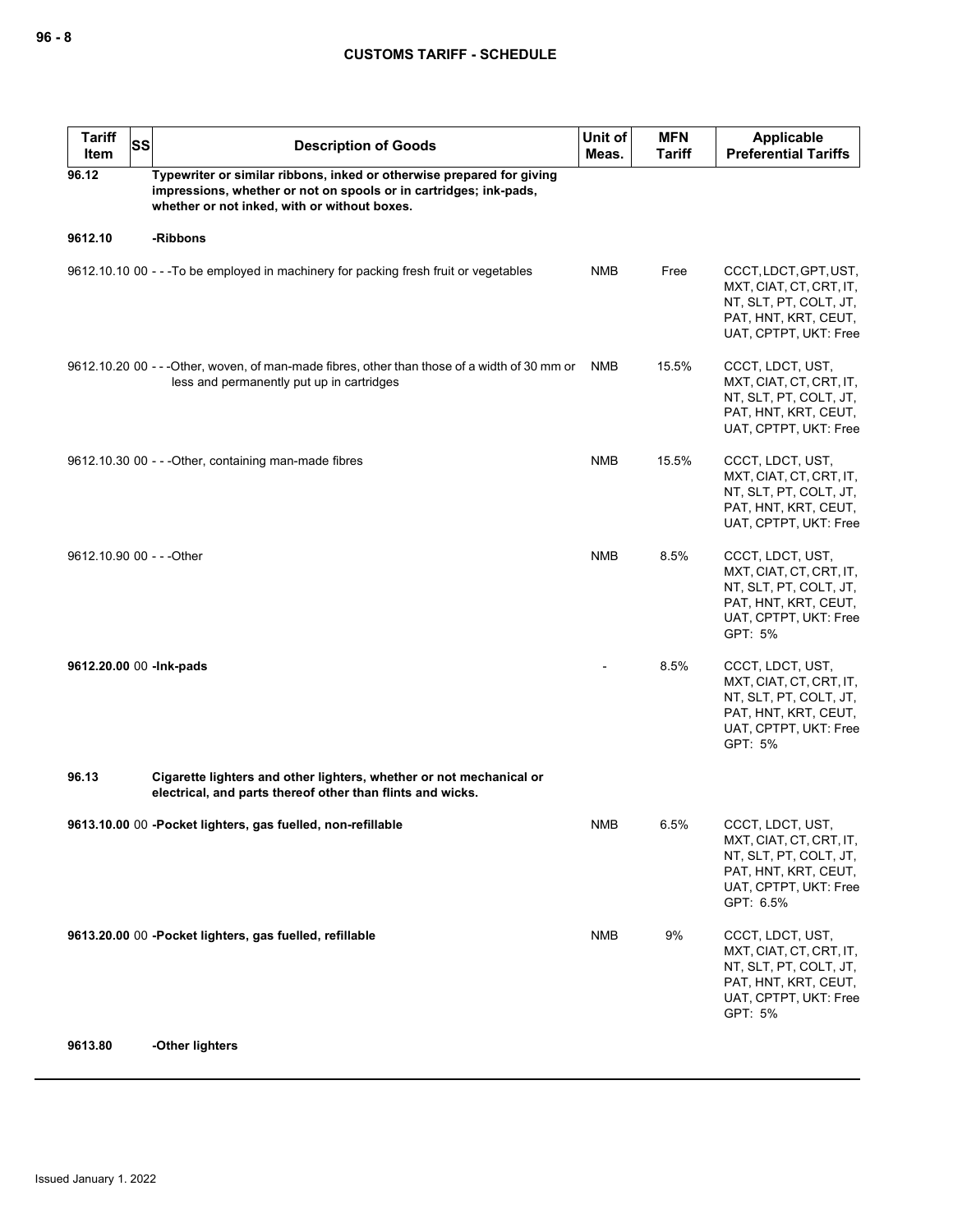| <b>Tariff</b><br>ltem     | <b>SS</b> | <b>Description of Goods</b>                                                                                                                                                                | Unit of<br>Meas. | <b>MFN</b><br>Tariff | <b>Applicable</b><br><b>Preferential Tariffs</b>                                                                                    |
|---------------------------|-----------|--------------------------------------------------------------------------------------------------------------------------------------------------------------------------------------------|------------------|----------------------|-------------------------------------------------------------------------------------------------------------------------------------|
| 96.12                     |           | Typewriter or similar ribbons, inked or otherwise prepared for giving<br>impressions, whether or not on spools or in cartridges; ink-pads,<br>whether or not inked, with or without boxes. |                  |                      |                                                                                                                                     |
| 9612.10                   |           | -Ribbons                                                                                                                                                                                   |                  |                      |                                                                                                                                     |
|                           |           | 9612.10.10 00 - - - To be employed in machinery for packing fresh fruit or vegetables                                                                                                      | <b>NMB</b>       | Free                 | CCCT, LDCT, GPT, UST,<br>MXT, CIAT, CT, CRT, IT,<br>NT, SLT, PT, COLT, JT,<br>PAT, HNT, KRT, CEUT,<br>UAT, CPTPT, UKT: Free         |
|                           |           | 9612.10.20 00 - - - Other, woven, of man-made fibres, other than those of a width of 30 mm or<br>less and permanently put up in cartridges                                                 | <b>NMB</b>       | 15.5%                | CCCT, LDCT, UST,<br>MXT, CIAT, CT, CRT, IT,<br>NT, SLT, PT, COLT, JT,<br>PAT, HNT, KRT, CEUT,<br>UAT, CPTPT, UKT: Free              |
|                           |           | 9612.10.30 00 - - - Other, containing man-made fibres                                                                                                                                      | <b>NMB</b>       | 15.5%                | CCCT, LDCT, UST,<br>MXT, CIAT, CT, CRT, IT,<br>NT, SLT, PT, COLT, JT,<br>PAT, HNT, KRT, CEUT,<br>UAT, CPTPT, UKT: Free              |
| 9612.10.90 00 - - - Other |           |                                                                                                                                                                                            | <b>NMB</b>       | 8.5%                 | CCCT, LDCT, UST,<br>MXT, CIAT, CT, CRT, IT,<br>NT, SLT, PT, COLT, JT,<br>PAT, HNT, KRT, CEUT,<br>UAT, CPTPT, UKT: Free<br>GPT: 5%   |
|                           |           | 9612.20.00 00 - Ink-pads                                                                                                                                                                   |                  | 8.5%                 | CCCT, LDCT, UST,<br>MXT, CIAT, CT, CRT, IT,<br>NT, SLT, PT, COLT, JT,<br>PAT, HNT, KRT, CEUT,<br>UAT, CPTPT, UKT: Free<br>GPT: 5%   |
| 96.13                     |           | Cigarette lighters and other lighters, whether or not mechanical or<br>electrical, and parts thereof other than flints and wicks.                                                          |                  |                      |                                                                                                                                     |
|                           |           | 9613.10.00 00 -Pocket lighters, gas fuelled, non-refillable                                                                                                                                | <b>NMB</b>       | 6.5%                 | CCCT, LDCT, UST,<br>MXT, CIAT, CT, CRT, IT,<br>NT, SLT, PT, COLT, JT,<br>PAT, HNT, KRT, CEUT,<br>UAT, CPTPT, UKT: Free<br>GPT: 6.5% |
|                           |           | 9613.20.00 00 -Pocket lighters, gas fuelled, refillable                                                                                                                                    | <b>NMB</b>       | 9%                   | CCCT, LDCT, UST,<br>MXT, CIAT, CT, CRT, IT,<br>NT, SLT, PT, COLT, JT,<br>PAT, HNT, KRT, CEUT,<br>UAT, CPTPT, UKT: Free<br>GPT: 5%   |
| 9613.80                   |           | -Other lighters                                                                                                                                                                            |                  |                      |                                                                                                                                     |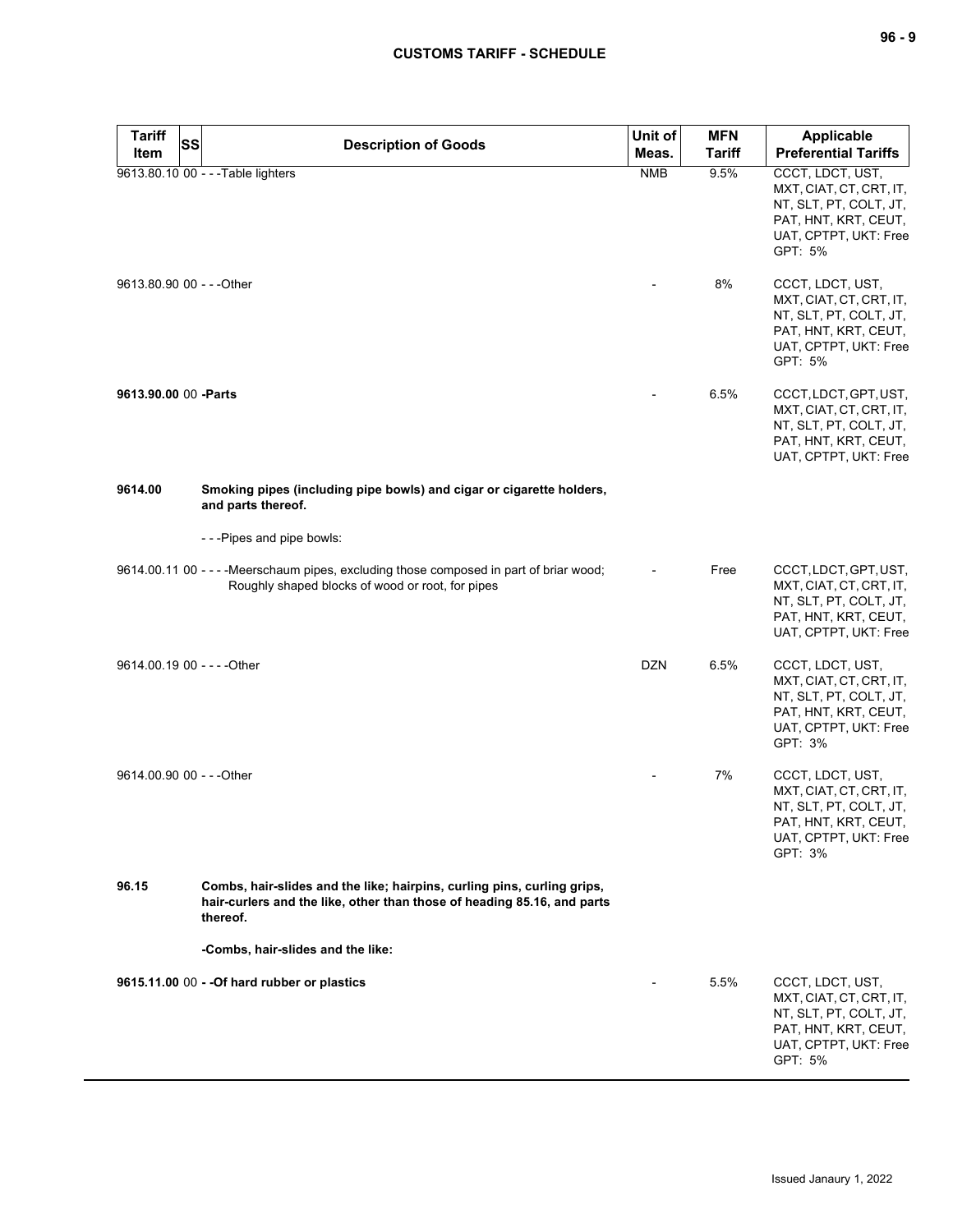| <b>Tariff</b><br><b>Item</b> | SS | <b>Description of Goods</b>                                                                                                                                    | Unit of<br>Meas. | <b>MFN</b><br><b>Tariff</b> | Applicable<br><b>Preferential Tariffs</b>                                                                                         |
|------------------------------|----|----------------------------------------------------------------------------------------------------------------------------------------------------------------|------------------|-----------------------------|-----------------------------------------------------------------------------------------------------------------------------------|
|                              |    | 9613.80.10 00 - - - Table lighters                                                                                                                             | <b>NMB</b>       | 9.5%                        | CCCT, LDCT, UST,<br>MXT, CIAT, CT, CRT, IT,<br>NT, SLT, PT, COLT, JT,<br>PAT, HNT, KRT, CEUT,<br>UAT, CPTPT, UKT: Free<br>GPT: 5% |
| 9613.80.90 00 - - - Other    |    |                                                                                                                                                                |                  | 8%                          | CCCT, LDCT, UST,<br>MXT, CIAT, CT, CRT, IT,<br>NT, SLT, PT, COLT, JT,<br>PAT, HNT, KRT, CEUT,<br>UAT, CPTPT, UKT: Free<br>GPT: 5% |
| 9613.90.00 00 - Parts        |    |                                                                                                                                                                |                  | 6.5%                        | CCCT, LDCT, GPT, UST,<br>MXT, CIAT, CT, CRT, IT,<br>NT, SLT, PT, COLT, JT,<br>PAT, HNT, KRT, CEUT,<br>UAT, CPTPT, UKT: Free       |
| 9614.00                      |    | Smoking pipes (including pipe bowls) and cigar or cigarette holders,<br>and parts thereof.                                                                     |                  |                             |                                                                                                                                   |
|                              |    | ---Pipes and pipe bowls:                                                                                                                                       |                  |                             |                                                                                                                                   |
|                              |    | 9614.00.11 00 - - - - Meerschaum pipes, excluding those composed in part of briar wood;<br>Roughly shaped blocks of wood or root, for pipes                    |                  | Free                        | CCCT, LDCT, GPT, UST,<br>MXT, CIAT, CT, CRT, IT,<br>NT, SLT, PT, COLT, JT,<br>PAT, HNT, KRT, CEUT,<br>UAT, CPTPT, UKT: Free       |
|                              |    | 9614.00.19 00 - - - - Other                                                                                                                                    | <b>DZN</b>       | 6.5%                        | CCCT, LDCT, UST,<br>MXT, CIAT, CT, CRT, IT,<br>NT, SLT, PT, COLT, JT,<br>PAT, HNT, KRT, CEUT,<br>UAT, CPTPT, UKT: Free<br>GPT: 3% |
| 9614.00.90 00 - - - Other    |    |                                                                                                                                                                |                  | 7%                          | CCCT, LDCT, UST,<br>MXT, CIAT, CT, CRT, IT,<br>NT, SLT, PT, COLT, JT,<br>PAT, HNT, KRT, CEUT,<br>UAT, CPTPT, UKT: Free<br>GPT: 3% |
| 96.15                        |    | Combs, hair-slides and the like; hairpins, curling pins, curling grips,<br>hair-curlers and the like, other than those of heading 85.16, and parts<br>thereof. |                  |                             |                                                                                                                                   |
|                              |    | -Combs, hair-slides and the like:                                                                                                                              |                  |                             |                                                                                                                                   |
|                              |    | 9615.11.00 00 - - Of hard rubber or plastics                                                                                                                   |                  | 5.5%                        | CCCT, LDCT, UST,<br>MXT, CIAT, CT, CRT, IT,<br>NT, SLT, PT, COLT, JT,<br>PAT, HNT, KRT, CEUT,<br>UAT, CPTPT, UKT: Free<br>GPT: 5% |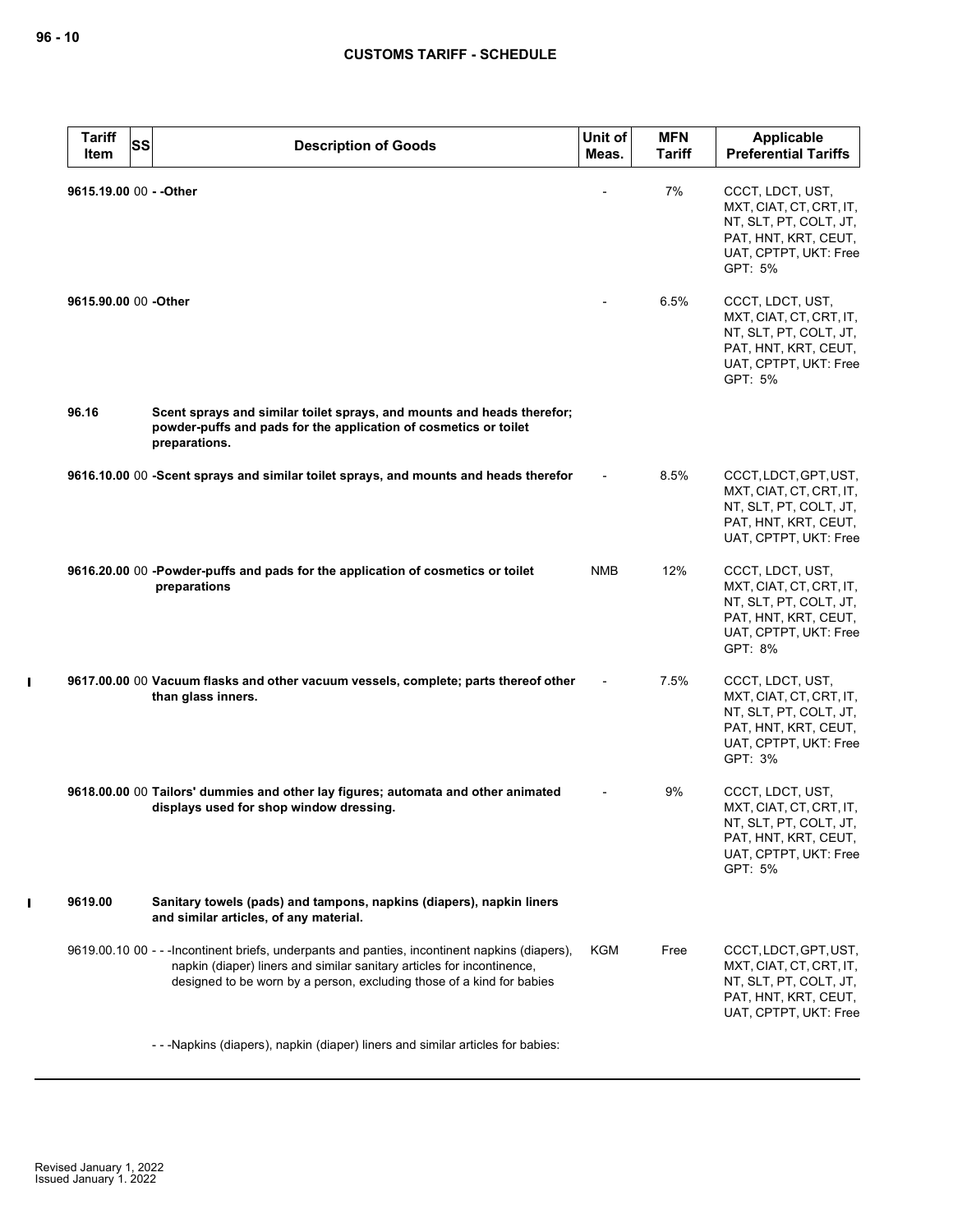$\mathbf{I}$ 

 $\mathbf I$ 

| <b>Tariff</b><br>Item   | <b>SS</b><br><b>Description of Goods</b>                                                                                                                                                                                                          | Unit of<br>Meas. | <b>MFN</b><br><b>Tariff</b> | <b>Applicable</b><br><b>Preferential Tariffs</b>                                                                                  |
|-------------------------|---------------------------------------------------------------------------------------------------------------------------------------------------------------------------------------------------------------------------------------------------|------------------|-----------------------------|-----------------------------------------------------------------------------------------------------------------------------------|
| 9615.19.00 00 - - Other |                                                                                                                                                                                                                                                   |                  | 7%                          | CCCT, LDCT, UST,<br>MXT, CIAT, CT, CRT, IT,<br>NT, SLT, PT, COLT, JT,<br>PAT, HNT, KRT, CEUT,<br>UAT, CPTPT, UKT: Free<br>GPT: 5% |
| 9615.90.00 00 -Other    |                                                                                                                                                                                                                                                   |                  | 6.5%                        | CCCT, LDCT, UST,<br>MXT, CIAT, CT, CRT, IT,<br>NT, SLT, PT, COLT, JT,<br>PAT, HNT, KRT, CEUT,<br>UAT, CPTPT, UKT: Free<br>GPT: 5% |
| 96.16                   | Scent sprays and similar toilet sprays, and mounts and heads therefor;<br>powder-puffs and pads for the application of cosmetics or toilet<br>preparations.                                                                                       |                  |                             |                                                                                                                                   |
|                         | 9616.10.00 00 -Scent sprays and similar toilet sprays, and mounts and heads therefor                                                                                                                                                              |                  | 8.5%                        | CCCT, LDCT, GPT, UST,<br>MXT, CIAT, CT, CRT, IT,<br>NT, SLT, PT, COLT, JT,<br>PAT, HNT, KRT, CEUT,<br>UAT, CPTPT, UKT: Free       |
|                         | 9616.20.00 00 -Powder-puffs and pads for the application of cosmetics or toilet<br>preparations                                                                                                                                                   | <b>NMB</b>       | 12%                         | CCCT, LDCT, UST,<br>MXT, CIAT, CT, CRT, IT,<br>NT, SLT, PT, COLT, JT,<br>PAT, HNT, KRT, CEUT,<br>UAT, CPTPT, UKT: Free<br>GPT: 8% |
|                         | 9617.00.00 00 Vacuum flasks and other vacuum vessels, complete; parts thereof other<br>than glass inners.                                                                                                                                         |                  | 7.5%                        | CCCT, LDCT, UST,<br>MXT, CIAT, CT, CRT, IT,<br>NT, SLT, PT, COLT, JT,<br>PAT, HNT, KRT, CEUT,<br>UAT, CPTPT, UKT: Free<br>GPT: 3% |
|                         | 9618.00.00 00 Tailors' dummies and other lay figures; automata and other animated<br>displays used for shop window dressing.                                                                                                                      |                  | 9%                          | CCCT, LDCT, UST,<br>MXT, CIAT, CT, CRT, IT,<br>NT, SLT, PT, COLT, JT,<br>PAT, HNT, KRT, CEUT,<br>UAT, CPTPT, UKT: Free<br>GPT: 5% |
| 9619.00                 | Sanitary towels (pads) and tampons, napkins (diapers), napkin liners<br>and similar articles, of any material.                                                                                                                                    |                  |                             |                                                                                                                                   |
|                         | 9619.00.10 00 - - - Incontinent briefs, underpants and panties, incontinent napkins (diapers),<br>napkin (diaper) liners and similar sanitary articles for incontinence,<br>designed to be worn by a person, excluding those of a kind for babies | KGM              | Free                        | CCCT, LDCT, GPT, UST,<br>MXT, CIAT, CT, CRT, IT,<br>NT, SLT, PT, COLT, JT,<br>PAT, HNT, KRT, CEUT,<br>UAT, CPTPT, UKT: Free       |
|                         | - - - Napkins (diapers), napkin (diaper) liners and similar articles for babies:                                                                                                                                                                  |                  |                             |                                                                                                                                   |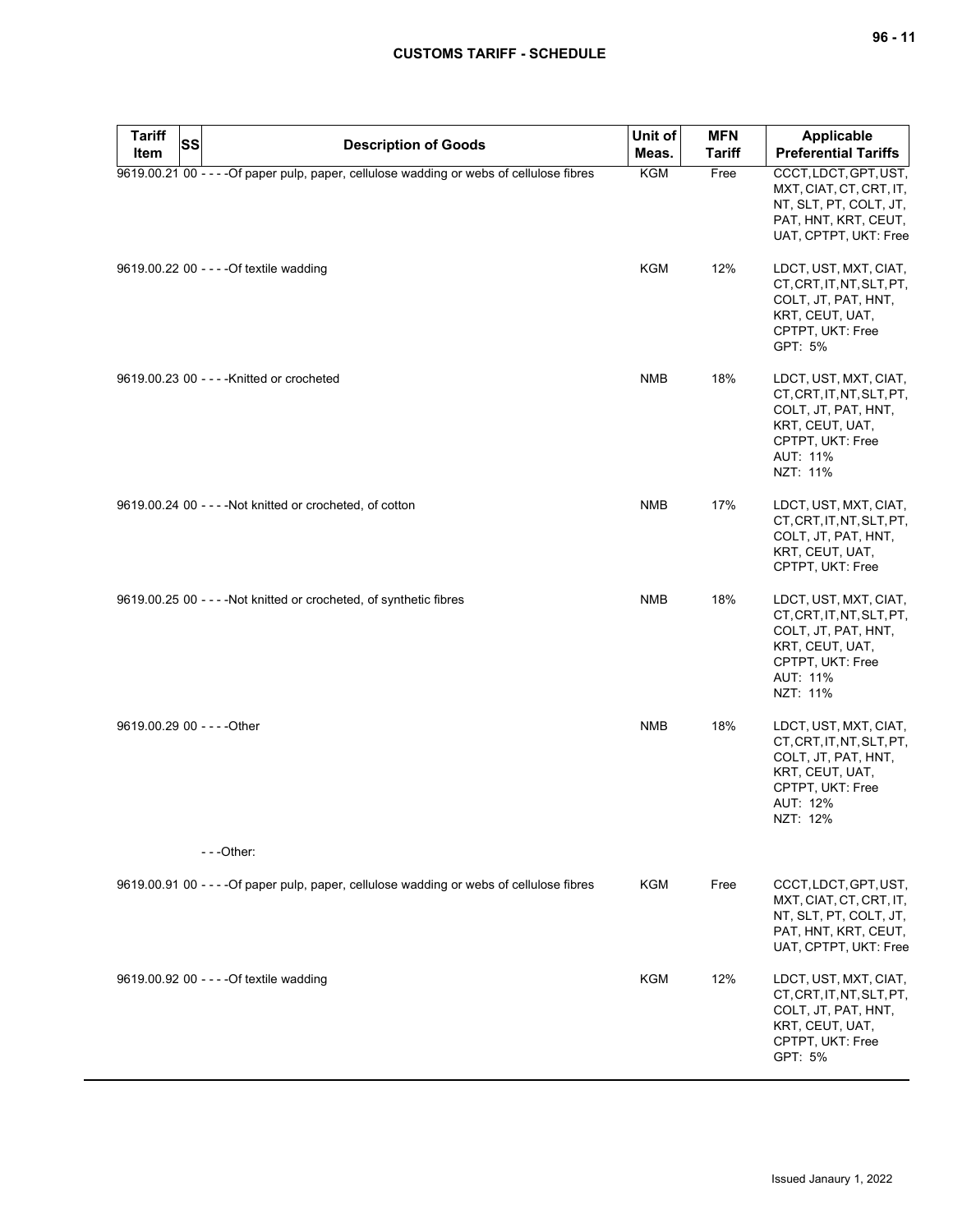# **CUSTOMS TARIFF - SCHEDULE**

| <b>Tariff</b><br><b>SS</b><br>Item | <b>Description of Goods</b>                                                               | Unit of<br>Meas. | <b>MFN</b><br><b>Tariff</b> | Applicable<br><b>Preferential Tariffs</b>                                                                                                |
|------------------------------------|-------------------------------------------------------------------------------------------|------------------|-----------------------------|------------------------------------------------------------------------------------------------------------------------------------------|
|                                    | 9619.00.21 00 - - - - Of paper pulp, paper, cellulose wadding or webs of cellulose fibres | <b>KGM</b>       | Free                        | CCCT, LDCT, GPT, UST,<br>MXT, CIAT, CT, CRT, IT,<br>NT, SLT, PT, COLT, JT,<br>PAT, HNT, KRT, CEUT,<br>UAT, CPTPT, UKT: Free              |
|                                    | 9619.00.22 00 - - - - Of textile wadding                                                  | KGM              | 12%                         | LDCT, UST, MXT, CIAT,<br>CT, CRT, IT, NT, SLT, PT,<br>COLT, JT, PAT, HNT,<br>KRT, CEUT, UAT,<br>CPTPT, UKT: Free<br>GPT: 5%              |
|                                    | 9619.00.23 00 - - - - Knitted or crocheted                                                | <b>NMB</b>       | 18%                         | LDCT, UST, MXT, CIAT,<br>CT, CRT, IT, NT, SLT, PT,<br>COLT, JT, PAT, HNT,<br>KRT, CEUT, UAT,<br>CPTPT, UKT: Free<br>AUT: 11%<br>NZT: 11% |
|                                    | 9619.00.24 00 - - - - Not knitted or crocheted, of cotton                                 | <b>NMB</b>       | 17%                         | LDCT, UST, MXT, CIAT,<br>CT, CRT, IT, NT, SLT, PT,<br>COLT, JT, PAT, HNT,<br>KRT, CEUT, UAT,<br>CPTPT, UKT: Free                         |
|                                    | 9619.00.25 00 - - - - Not knitted or crocheted, of synthetic fibres                       | <b>NMB</b>       | 18%                         | LDCT, UST, MXT, CIAT,<br>CT, CRT, IT, NT, SLT, PT,<br>COLT, JT, PAT, HNT,<br>KRT, CEUT, UAT,<br>CPTPT, UKT: Free<br>AUT: 11%<br>NZT: 11% |
| 9619.00.29 00 - - - - Other        | $- -$ Other:                                                                              | <b>NMB</b>       | 18%                         | LDCT, UST, MXT, CIAT,<br>CT, CRT, IT, NT, SLT, PT,<br>COLT, JT, PAT, HNT,<br>KRT, CEUT, UAT,<br>CPTPT, UKT: Free<br>AUT: 12%<br>NZT: 12% |
|                                    |                                                                                           |                  |                             |                                                                                                                                          |
|                                    | 9619.00.91 00 - - - - Of paper pulp, paper, cellulose wadding or webs of cellulose fibres | <b>KGM</b>       | Free                        | CCCT, LDCT, GPT, UST,<br>MXT, CIAT, CT, CRT, IT,<br>NT, SLT, PT, COLT, JT,<br>PAT, HNT, KRT, CEUT,<br>UAT, CPTPT, UKT: Free              |
|                                    | 9619.00.92 00 - - - - Of textile wadding                                                  | <b>KGM</b>       | 12%                         | LDCT, UST, MXT, CIAT,<br>CT, CRT, IT, NT, SLT, PT,<br>COLT, JT, PAT, HNT,<br>KRT, CEUT, UAT,<br>CPTPT, UKT: Free<br>GPT: 5%              |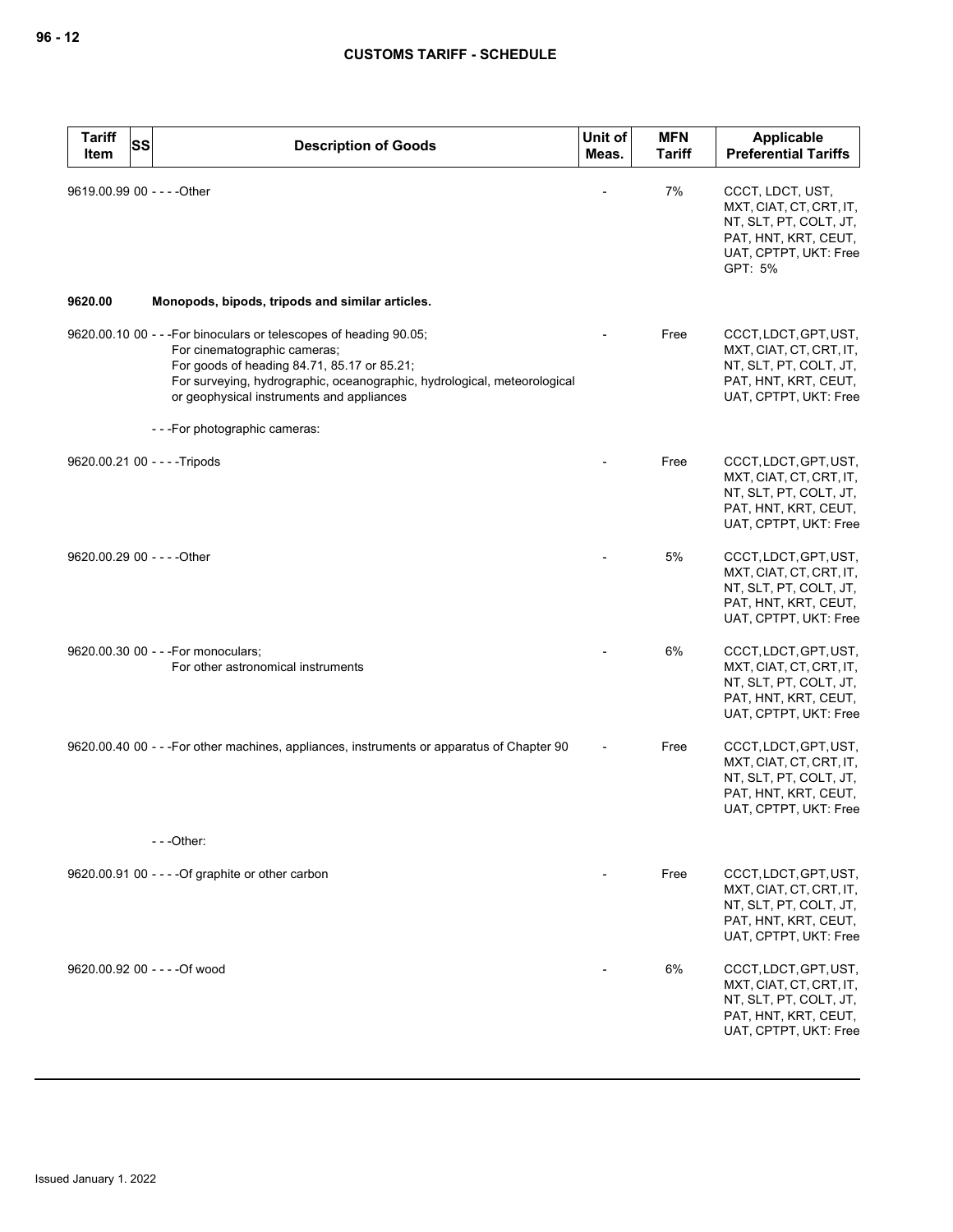| <b>Tariff</b><br>Item       | <b>SS</b> | <b>Description of Goods</b>                                                                                                                                                                                                                                                | Unit of<br>Meas. | <b>MFN</b><br><b>Tariff</b> | Applicable<br><b>Preferential Tariffs</b>                                                                                         |
|-----------------------------|-----------|----------------------------------------------------------------------------------------------------------------------------------------------------------------------------------------------------------------------------------------------------------------------------|------------------|-----------------------------|-----------------------------------------------------------------------------------------------------------------------------------|
| 9619.00.99 00 - - - - Other |           |                                                                                                                                                                                                                                                                            |                  | 7%                          | CCCT, LDCT, UST,<br>MXT, CIAT, CT, CRT, IT,<br>NT, SLT, PT, COLT, JT,<br>PAT, HNT, KRT, CEUT,<br>UAT, CPTPT, UKT: Free<br>GPT: 5% |
| 9620.00                     |           | Monopods, bipods, tripods and similar articles.                                                                                                                                                                                                                            |                  |                             |                                                                                                                                   |
|                             |           | 9620.00.10 00 - - - For binoculars or telescopes of heading 90.05;<br>For cinematographic cameras;<br>For goods of heading 84.71, 85.17 or 85.21;<br>For surveying, hydrographic, oceanographic, hydrological, meteorological<br>or geophysical instruments and appliances |                  | Free                        | CCCT, LDCT, GPT, UST,<br>MXT, CIAT, CT, CRT, IT,<br>NT, SLT, PT, COLT, JT,<br>PAT, HNT, KRT, CEUT,<br>UAT, CPTPT, UKT: Free       |
|                             |           | ---For photographic cameras:                                                                                                                                                                                                                                               |                  |                             |                                                                                                                                   |
|                             |           | 9620.00.21 00 - - - - Tripods                                                                                                                                                                                                                                              |                  | Free                        | CCCT, LDCT, GPT, UST,<br>MXT, CIAT, CT, CRT, IT,<br>NT, SLT, PT, COLT, JT,<br>PAT, HNT, KRT, CEUT,<br>UAT, CPTPT, UKT: Free       |
| 9620.00.29 00 - - - - Other |           |                                                                                                                                                                                                                                                                            |                  | 5%                          | CCCT, LDCT, GPT, UST,<br>MXT, CIAT, CT, CRT, IT,<br>NT, SLT, PT, COLT, JT,<br>PAT, HNT, KRT, CEUT,<br>UAT, CPTPT, UKT: Free       |
|                             |           | 9620.00.30 00 - - - For monoculars;<br>For other astronomical instruments                                                                                                                                                                                                  |                  | 6%                          | CCCT, LDCT, GPT, UST,<br>MXT, CIAT, CT, CRT, IT,<br>NT, SLT, PT, COLT, JT,<br>PAT, HNT, KRT, CEUT,<br>UAT, CPTPT, UKT: Free       |
|                             |           | 9620.00.40 00 - - - For other machines, appliances, instruments or apparatus of Chapter 90                                                                                                                                                                                 |                  | Free                        | CCCT, LDCT, GPT, UST,<br>MXT, CIAT, CT, CRT, IT,<br>NT, SLT, PT, COLT, JT,<br>PAT, HNT, KRT, CEUT,<br>UAT, CPTPT, UKT: Free       |
|                             |           | $--$ Other:                                                                                                                                                                                                                                                                |                  |                             |                                                                                                                                   |
|                             |           | 9620.00.91 00 - - - - Of graphite or other carbon                                                                                                                                                                                                                          |                  | Free                        | CCCT, LDCT, GPT, UST,<br>MXT, CIAT, CT, CRT, IT,<br>NT, SLT, PT, COLT, JT,<br>PAT, HNT, KRT, CEUT,<br>UAT, CPTPT, UKT: Free       |
|                             |           | 9620.00.92 00 - - - - Of wood                                                                                                                                                                                                                                              |                  | 6%                          | CCCT, LDCT, GPT, UST,<br>MXT, CIAT, CT, CRT, IT,<br>NT, SLT, PT, COLT, JT,<br>PAT, HNT, KRT, CEUT,<br>UAT, CPTPT, UKT: Free       |